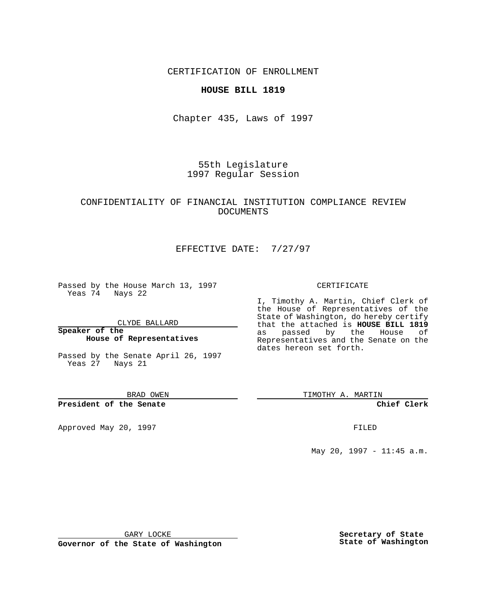CERTIFICATION OF ENROLLMENT

#### **HOUSE BILL 1819**

Chapter 435, Laws of 1997

55th Legislature 1997 Regular Session

### CONFIDENTIALITY OF FINANCIAL INSTITUTION COMPLIANCE REVIEW DOCUMENTS

# EFFECTIVE DATE: 7/27/97

Passed by the House March 13, 1997 Yeas 74 Nays 22

CLYDE BALLARD

**Speaker of the House of Representatives**

Passed by the Senate April 26, 1997 Yeas 27 Nays 21

BRAD OWEN

**President of the Senate**

Approved May 20, 1997 **FILED** 

#### CERTIFICATE

I, Timothy A. Martin, Chief Clerk of the House of Representatives of the State of Washington, do hereby certify that the attached is **HOUSE BILL 1819** as passed by the House of Representatives and the Senate on the dates hereon set forth.

TIMOTHY A. MARTIN

**Chief Clerk**

May 20, 1997 - 11:45 a.m.

GARY LOCKE

**Governor of the State of Washington**

**Secretary of State State of Washington**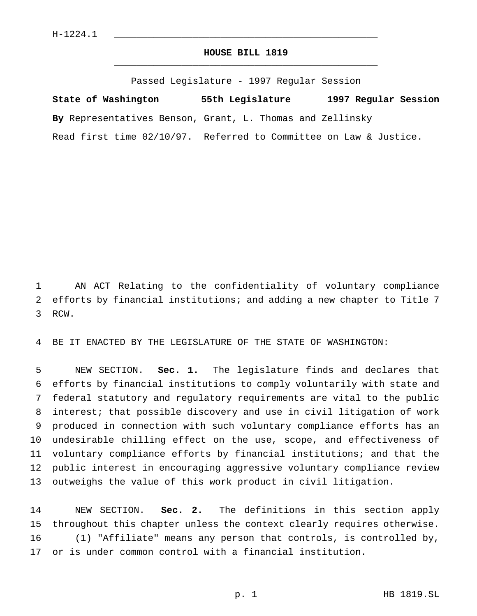## **HOUSE BILL 1819** \_\_\_\_\_\_\_\_\_\_\_\_\_\_\_\_\_\_\_\_\_\_\_\_\_\_\_\_\_\_\_\_\_\_\_\_\_\_\_\_\_\_\_\_\_\_\_

Passed Legislature - 1997 Regular Session

**State of Washington 55th Legislature 1997 Regular Session By** Representatives Benson, Grant, L. Thomas and Zellinsky Read first time 02/10/97. Referred to Committee on Law & Justice.

 AN ACT Relating to the confidentiality of voluntary compliance efforts by financial institutions; and adding a new chapter to Title 7 RCW.

BE IT ENACTED BY THE LEGISLATURE OF THE STATE OF WASHINGTON:

 NEW SECTION. **Sec. 1.** The legislature finds and declares that efforts by financial institutions to comply voluntarily with state and federal statutory and regulatory requirements are vital to the public interest; that possible discovery and use in civil litigation of work produced in connection with such voluntary compliance efforts has an undesirable chilling effect on the use, scope, and effectiveness of voluntary compliance efforts by financial institutions; and that the public interest in encouraging aggressive voluntary compliance review outweighs the value of this work product in civil litigation.

 NEW SECTION. **Sec. 2.** The definitions in this section apply throughout this chapter unless the context clearly requires otherwise. (1) "Affiliate" means any person that controls, is controlled by, or is under common control with a financial institution.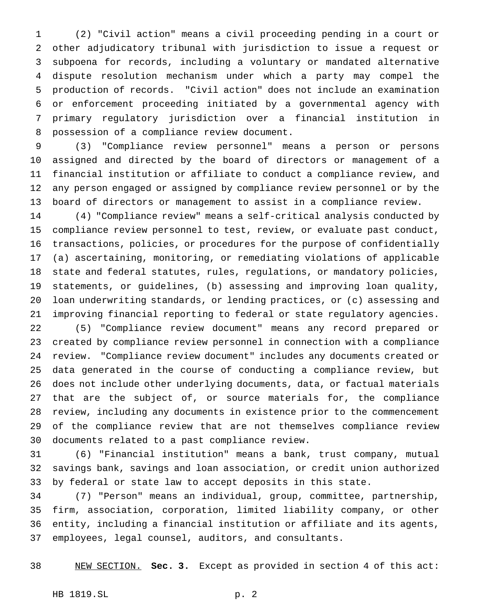(2) "Civil action" means a civil proceeding pending in a court or other adjudicatory tribunal with jurisdiction to issue a request or subpoena for records, including a voluntary or mandated alternative dispute resolution mechanism under which a party may compel the production of records. "Civil action" does not include an examination or enforcement proceeding initiated by a governmental agency with primary regulatory jurisdiction over a financial institution in possession of a compliance review document.

 (3) "Compliance review personnel" means a person or persons assigned and directed by the board of directors or management of a financial institution or affiliate to conduct a compliance review, and any person engaged or assigned by compliance review personnel or by the board of directors or management to assist in a compliance review.

 (4) "Compliance review" means a self-critical analysis conducted by compliance review personnel to test, review, or evaluate past conduct, transactions, policies, or procedures for the purpose of confidentially (a) ascertaining, monitoring, or remediating violations of applicable state and federal statutes, rules, regulations, or mandatory policies, statements, or guidelines, (b) assessing and improving loan quality, loan underwriting standards, or lending practices, or (c) assessing and improving financial reporting to federal or state regulatory agencies.

 (5) "Compliance review document" means any record prepared or created by compliance review personnel in connection with a compliance review. "Compliance review document" includes any documents created or data generated in the course of conducting a compliance review, but does not include other underlying documents, data, or factual materials that are the subject of, or source materials for, the compliance review, including any documents in existence prior to the commencement of the compliance review that are not themselves compliance review documents related to a past compliance review.

 (6) "Financial institution" means a bank, trust company, mutual savings bank, savings and loan association, or credit union authorized by federal or state law to accept deposits in this state.

 (7) "Person" means an individual, group, committee, partnership, firm, association, corporation, limited liability company, or other entity, including a financial institution or affiliate and its agents, employees, legal counsel, auditors, and consultants.

NEW SECTION. **Sec. 3.** Except as provided in section 4 of this act: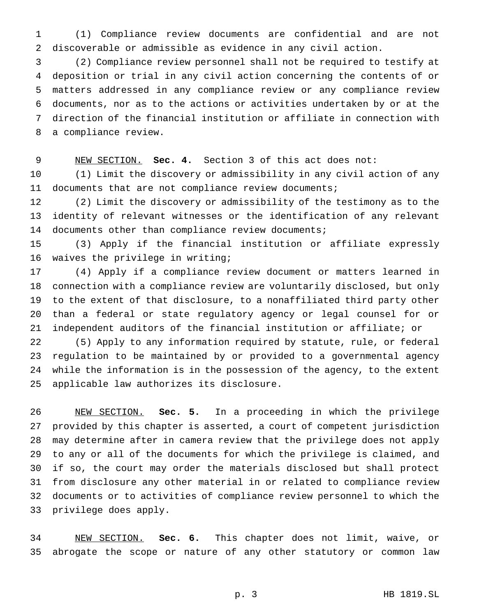(1) Compliance review documents are confidential and are not discoverable or admissible as evidence in any civil action.

 (2) Compliance review personnel shall not be required to testify at deposition or trial in any civil action concerning the contents of or matters addressed in any compliance review or any compliance review documents, nor as to the actions or activities undertaken by or at the direction of the financial institution or affiliate in connection with a compliance review.

NEW SECTION. **Sec. 4.** Section 3 of this act does not:

 (1) Limit the discovery or admissibility in any civil action of any 11 documents that are not compliance review documents;

 (2) Limit the discovery or admissibility of the testimony as to the identity of relevant witnesses or the identification of any relevant documents other than compliance review documents;

 (3) Apply if the financial institution or affiliate expressly waives the privilege in writing;

 (4) Apply if a compliance review document or matters learned in connection with a compliance review are voluntarily disclosed, but only to the extent of that disclosure, to a nonaffiliated third party other than a federal or state regulatory agency or legal counsel for or independent auditors of the financial institution or affiliate; or

 (5) Apply to any information required by statute, rule, or federal regulation to be maintained by or provided to a governmental agency while the information is in the possession of the agency, to the extent applicable law authorizes its disclosure.

 NEW SECTION. **Sec. 5.** In a proceeding in which the privilege provided by this chapter is asserted, a court of competent jurisdiction may determine after in camera review that the privilege does not apply to any or all of the documents for which the privilege is claimed, and if so, the court may order the materials disclosed but shall protect from disclosure any other material in or related to compliance review documents or to activities of compliance review personnel to which the privilege does apply.

 NEW SECTION. **Sec. 6.** This chapter does not limit, waive, or abrogate the scope or nature of any other statutory or common law